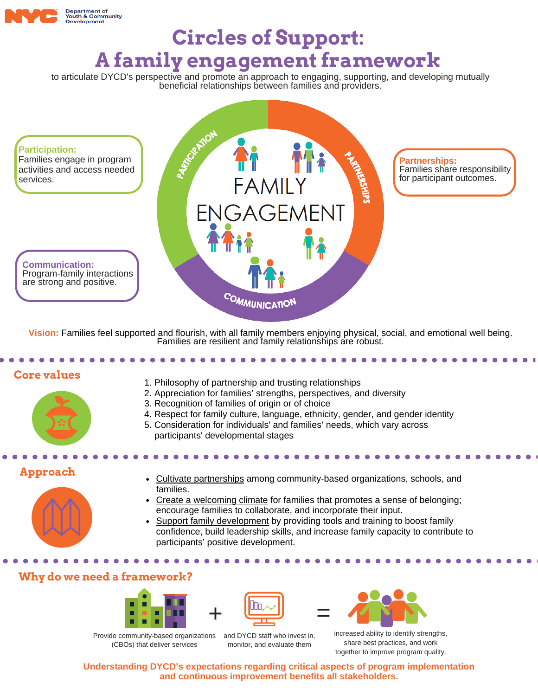

# **Circles of Support: A family engagement framework**

to articulate DYCD's perspective and promote an approach to engaging, supporting, and developing mutually beneficial relationships between families and providers.



**Vision:** Families feel supported and flourish, with all family members enjoying physical, social, and emotional well being. Families are resilient and family relationships are robust.

#### **Core values**



- 1. Philosophy of partnership and trusting relationships
- 2. Appreciation for families' strengths, perspectives, and diversity
- 3. Recognition of families of origin or of choice
- 4. Respect for family culture, language, ethnicity, gender, and gender identity
- 5. Consideration for individuals' and families' needs, which vary across participants' developmental stages

## **Approach**



- Cultivate partnerships among community-based organizations, schools, and families.
- Create a welcoming climate for families that promotes a sense of belonging; encourage families to collaborate, and incorporate their input.
- Support family development by providing tools and training to boost family confidence, build leadership skills, and increase family capacity to contribute to participants' positive development.

### **Why do we need a framework?**





Provide community-based organizations (CBOs) that deliver services

and DYCD staff who invest in, monitor, and evaluate them



increased ability to identify strengths, share best practices, and work together to improve program quality.

**Understanding DYCD's expectations regarding critical aspects of program implementation and continuous improvement benefits all stakeholders.**